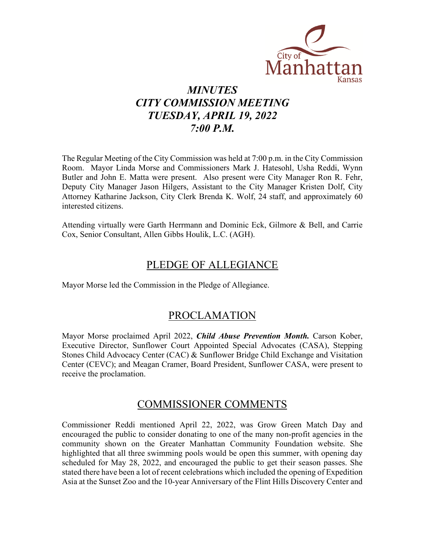

# *MINUTES CITY COMMISSION MEETING TUESDAY, APRIL 19, 2022 7:00 P.M.*

The Regular Meeting of the City Commission was held at 7:00 p.m. in the City Commission Room. Mayor Linda Morse and Commissioners Mark J. Hatesohl, Usha Reddi, Wynn Butler and John E. Matta were present. Also present were City Manager Ron R. Fehr, Deputy City Manager Jason Hilgers, Assistant to the City Manager Kristen Dolf, City Attorney Katharine Jackson, City Clerk Brenda K. Wolf, 24 staff, and approximately 60 interested citizens.

Attending virtually were Garth Herrmann and Dominic Eck, Gilmore & Bell, and Carrie Cox, Senior Consultant, Allen Gibbs Houlik, L.C. (AGH).

### PLEDGE OF ALLEGIANCE

Mayor Morse led the Commission in the Pledge of Allegiance.

### PROCLAMATION

Mayor Morse proclaimed April 2022, *Child Abuse Prevention Month.* Carson Kober, Executive Director, Sunflower Court Appointed Special Advocates (CASA), Stepping Stones Child Advocacy Center (CAC) & Sunflower Bridge Child Exchange and Visitation Center (CEVC); and Meagan Cramer, Board President, Sunflower CASA, were present to receive the proclamation.

### COMMISSIONER COMMENTS

Commissioner Reddi mentioned April 22, 2022, was Grow Green Match Day and encouraged the public to consider donating to one of the many non-profit agencies in the community shown on the Greater Manhattan Community Foundation website. She highlighted that all three swimming pools would be open this summer, with opening day scheduled for May 28, 2022, and encouraged the public to get their season passes. She stated there have been a lot of recent celebrations which included the opening of Expedition Asia at the Sunset Zoo and the 10-year Anniversary of the Flint Hills Discovery Center and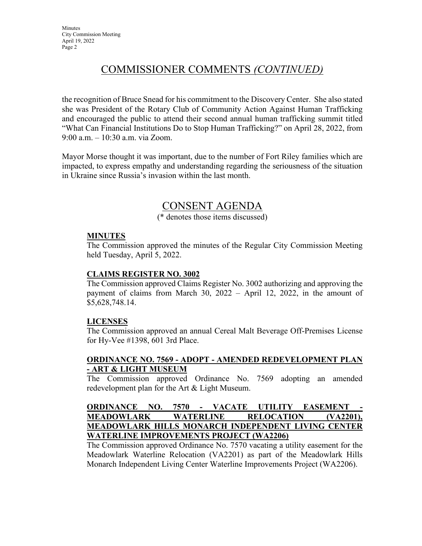## COMMISSIONER COMMENTS *(CONTINUED)*

the recognition of Bruce Snead for his commitment to the Discovery Center. She also stated she was President of the Rotary Club of Community Action Against Human Trafficking and encouraged the public to attend their second annual human trafficking summit titled "What Can Financial Institutions Do to Stop Human Trafficking?" on April 28, 2022, from 9:00 a.m. – 10:30 a.m. via Zoom.

Mayor Morse thought it was important, due to the number of Fort Riley families which are impacted, to express empathy and understanding regarding the seriousness of the situation in Ukraine since Russia's invasion within the last month.

### CONSENT AGENDA

(\* denotes those items discussed)

#### **MINUTES**

The Commission approved the minutes of the Regular City Commission Meeting held Tuesday, April 5, 2022.

#### **CLAIMS REGISTER NO. 3002**

The Commission approved Claims Register No. 3002 authorizing and approving the payment of claims from March 30, 2022 – April 12, 2022, in the amount of \$5,628,748.14.

#### **LICENSES**

The Commission approved an annual Cereal Malt Beverage Off-Premises License for Hy-Vee #1398, 601 3rd Place.

#### **ORDINANCE NO. 7569 - ADOPT - AMENDED REDEVELOPMENT PLAN - ART & LIGHT MUSEUM**

The Commission approved Ordinance No. 7569 adopting an amended redevelopment plan for the Art & Light Museum.

#### **ORDINANCE NO. 7570 - VACATE UTILITY EASEMENT MEADOWLARK WATERLINE RELOCATION (VA2201), MEADOWLARK HILLS MONARCH INDEPENDENT LIVING CENTER WATERLINE IMPROVEMENTS PROJECT (WA2206)**

The Commission approved Ordinance No. 7570 vacating a utility easement for the Meadowlark Waterline Relocation (VA2201) as part of the Meadowlark Hills Monarch Independent Living Center Waterline Improvements Project (WA2206).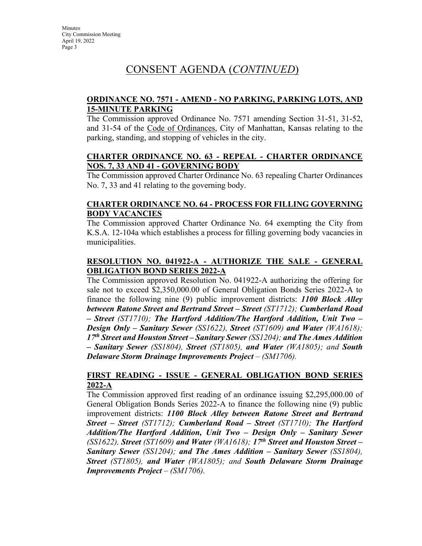#### **ORDINANCE NO. 7571 - AMEND - NO PARKING, PARKING LOTS, AND 15-MINUTE PARKING**

The Commission approved Ordinance No. 7571 amending Section 31-51, 31-52, and 31-54 of the Code of Ordinances, City of Manhattan, Kansas relating to the parking, standing, and stopping of vehicles in the city.

#### **CHARTER ORDINANCE NO. 63 - REPEAL - CHARTER ORDINANCE NOS. 7, 33 AND 41 - GOVERNING BODY**

The Commission approved Charter Ordinance No. 63 repealing Charter Ordinances No. 7, 33 and 41 relating to the governing body.

#### **CHARTER ORDINANCE NO. 64 - PROCESS FOR FILLING GOVERNING BODY VACANCIES**

The Commission approved Charter Ordinance No. 64 exempting the City from K.S.A. 12-104a which establishes a process for filling governing body vacancies in municipalities.

#### **RESOLUTION NO. 041922-A - AUTHORIZE THE SALE - GENERAL OBLIGATION BOND SERIES 2022-A**

The Commission approved Resolution No. 041922-A authorizing the offering for sale not to exceed \$2,350,000.00 of General Obligation Bonds Series 2022-A to finance the following nine (9) public improvement districts: *1100 Block Alley between Ratone Street and Bertrand Street – Street (ST1712); Cumberland Road – Street (ST1710); The Hartford Addition/The Hartford Addition, Unit Two – Design Only – Sanitary Sewer (SS1622), Street (ST1609) and Water (WA1618); 17th Street and Houston Street – Sanitary Sewer (SS1204); and The Ames Addition – Sanitary Sewer (SS1804), Street (ST1805), and Water (WA1805); and South Delaware Storm Drainage Improvements Project – (SM1706).* 

#### **FIRST READING - ISSUE - GENERAL OBLIGATION BOND SERIES 2022-A**

The Commission approved first reading of an ordinance issuing \$2,295,000.00 of General Obligation Bonds Series 2022-A to finance the following nine (9) public improvement districts: *1100 Block Alley between Ratone Street and Bertrand Street – Street (ST1712); Cumberland Road – Street (ST1710); The Hartford Addition/The Hartford Addition, Unit Two – Design Only – Sanitary Sewer (SS1622), Street (ST1609) and Water (WA1618); 17th Street and Houston Street – Sanitary Sewer (SS1204); and The Ames Addition – Sanitary Sewer (SS1804), Street (ST1805), and Water (WA1805); and South Delaware Storm Drainage Improvements Project – (SM1706).*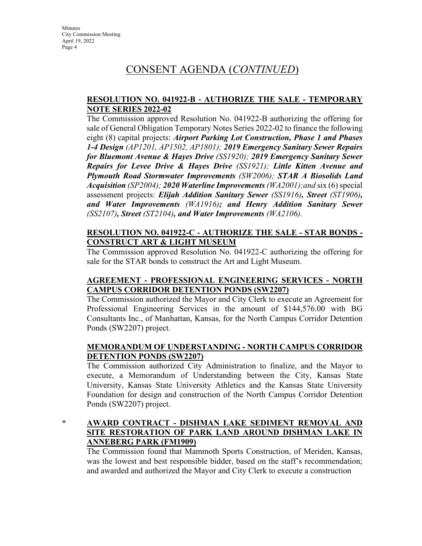#### **RESOLUTION NO. 041922-B - AUTHORIZE THE SALE - TEMPORARY NOTE SERIES 2022-02**

The Commission approved Resolution No. 041922-B authorizing the offering for sale of General Obligation Temporary Notes Series 2022-02 to finance the following eight (8) capital projects: *Airport Parking Lot Construction, Phase 1 and Phases 1-4 Design (AP1201, AP1502, AP1801); 2019 Emergency Sanitary Sewer Repairs for Bluemont Avenue & Hayes Drive (SS1920); 2019 Emergency Sanitary Sewer Repairs for Levee Drive & Hayes Drive (SS1921); Little Kitten Avenue and Plymouth Road Stormwater Improvements (SW2006); STAR A Biosolids Land Acquisition (SP2004); 2020 Waterline Improvements (WA2001);and* six (6) special assessment projects: *Elijah Addition Sanitary Sewer (SS1916), Street (ST1906), and Water Improvements (WA1916); and Henry Addition Sanitary Sewer (SS2107), Street (ST2104), and Water Improvements (WA2106).*

#### **RESOLUTION NO. 041922-C - AUTHORIZE THE SALE - STAR BONDS - CONSTRUCT ART & LIGHT MUSEUM**

The Commission approved Resolution No. 041922-C authorizing the offering for sale for the STAR bonds to construct the Art and Light Museum.

#### **AGREEMENT - PROFESSIONAL ENGINEERING SERVICES - NORTH CAMPUS CORRIDOR DETENTION PONDS (SW2207)**

The Commission authorized the Mayor and City Clerk to execute an Agreement for Professional Engineering Services in the amount of \$144,576.00 with BG Consultants Inc., of Manhattan, Kansas, for the North Campus Corridor Detention Ponds (SW2207) project.

#### **MEMORANDUM OF UNDERSTANDING - NORTH CAMPUS CORRIDOR DETENTION PONDS (SW2207)**

The Commission authorized City Administration to finalize, and the Mayor to execute, a Memorandum of Understanding between the City, Kansas State University, Kansas State University Athletics and the Kansas State University Foundation for design and construction of the North Campus Corridor Detention Ponds (SW2207) project.

#### **\* AWARD CONTRACT - DISHMAN LAKE SEDIMENT REMOVAL AND SITE RESTORATION OF PARK LAND AROUND DISHMAN LAKE IN ANNEBERG PARK (FM1909)**

The Commission found that Mammoth Sports Construction, of Meriden, Kansas, was the lowest and best responsible bidder, based on the staff's recommendation; and awarded and authorized the Mayor and City Clerk to execute a construction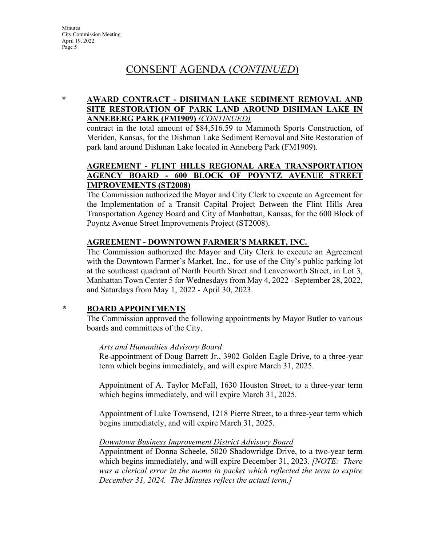### **\* AWARD CONTRACT - DISHMAN LAKE SEDIMENT REMOVAL AND SITE RESTORATION OF PARK LAND AROUND DISHMAN LAKE IN ANNEBERG PARK (FM1909)** *(CONTINUED)*

contract in the total amount of \$84,516.59 to Mammoth Sports Construction, of Meriden, Kansas, for the Dishman Lake Sediment Removal and Site Restoration of park land around Dishman Lake located in Anneberg Park (FM1909).

#### **AGREEMENT - FLINT HILLS REGIONAL AREA TRANSPORTATION AGENCY BOARD - 600 BLOCK OF POYNTZ AVENUE STREET IMPROVEMENTS (ST2008)**

The Commission authorized the Mayor and City Clerk to execute an Agreement for the Implementation of a Transit Capital Project Between the Flint Hills Area Transportation Agency Board and City of Manhattan, Kansas, for the 600 Block of Poyntz Avenue Street Improvements Project (ST2008).

#### **AGREEMENT - DOWNTOWN FARMER'S MARKET, INC.**

The Commission authorized the Mayor and City Clerk to execute an Agreement with the Downtown Farmer's Market, Inc., for use of the City's public parking lot at the southeast quadrant of North Fourth Street and Leavenworth Street, in Lot 3, Manhattan Town Center 5 for Wednesdays from May 4, 2022 - September 28, 2022, and Saturdays from May 1, 2022 - April 30, 2023.

#### *\** **BOARD APPOINTMENTS**

The Commission approved the following appointments by Mayor Butler to various boards and committees of the City.

#### *Arts and Humanities Advisory Board*

Re-appointment of Doug Barrett Jr., 3902 Golden Eagle Drive, to a three-year term which begins immediately, and will expire March 31, 2025.

Appointment of A. Taylor McFall, 1630 Houston Street, to a three-year term which begins immediately, and will expire March 31, 2025.

Appointment of Luke Townsend, 1218 Pierre Street, to a three-year term which begins immediately, and will expire March 31, 2025.

#### *Downtown Business Improvement District Advisory Board*

Appointment of Donna Scheele, 5020 Shadowridge Drive, to a two-year term which begins immediately, and will expire December 31, 2023. *[NOTE: There was a clerical error in the memo in packet which reflected the term to expire December 31, 2024. The Minutes reflect the actual term.]*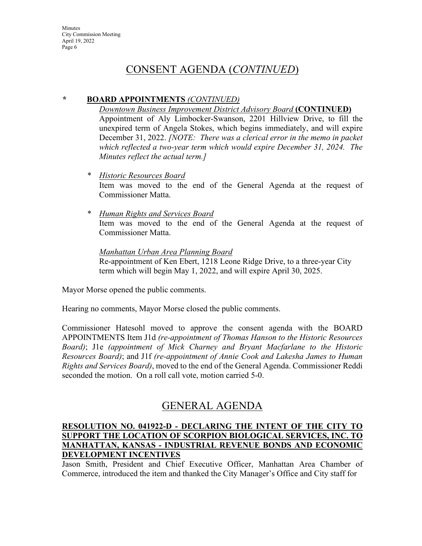#### *\** **BOARD APPOINTMENTS** *(CONTINUED)*

*Downtown Business Improvement District Advisory Board* **(CONTINUED)** Appointment of Aly Limbocker-Swanson, 2201 Hillview Drive, to fill the unexpired term of Angela Stokes, which begins immediately, and will expire December 31, 2022. *[NOTE: There was a clerical error in the memo in packet which reflected a two-year term which would expire December 31, 2024. The Minutes reflect the actual term.]*

- *\* Historic Resources Board* Item was moved to the end of the General Agenda at the request of Commissioner Matta.
- *\* Human Rights and Services Board* Item was moved to the end of the General Agenda at the request of Commissioner Matta.

*Manhattan Urban Area Planning Board* Re-appointment of Ken Ebert, 1218 Leone Ridge Drive, to a three-year City term which will begin May 1, 2022, and will expire April 30, 2025.

Mayor Morse opened the public comments.

Hearing no comments, Mayor Morse closed the public comments.

Commissioner Hatesohl moved to approve the consent agenda with the BOARD APPOINTMENTS Item J1d *(re-appointment of Thomas Hanson to the Historic Resources Board)*; J1e *(appointment of Mick Charney and Bryant Macfarlane to the Historic Resources Board)*; and J1f *(re-appointment of Annie Cook and Lakesha James to Human Rights and Services Board)*, moved to the end of the General Agenda. Commissioner Reddi seconded the motion. On a roll call vote, motion carried 5-0.

### GENERAL AGENDA

#### **RESOLUTION NO. 041922-D - DECLARING THE INTENT OF THE CITY TO SUPPORT THE LOCATION OF SCORPION BIOLOGICAL SERVICES, INC. TO MANHATTAN, KANSAS - INDUSTRIAL REVENUE BONDS AND ECONOMIC DEVELOPMENT INCENTIVES**

Jason Smith, President and Chief Executive Officer, Manhattan Area Chamber of Commerce, introduced the item and thanked the City Manager's Office and City staff for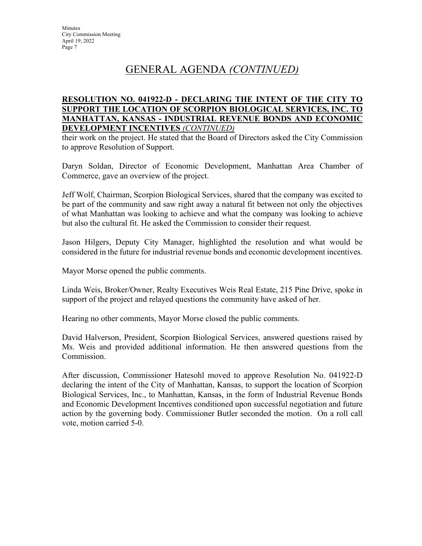#### **RESOLUTION NO. 041922-D - DECLARING THE INTENT OF THE CITY TO SUPPORT THE LOCATION OF SCORPION BIOLOGICAL SERVICES, INC. TO MANHATTAN, KANSAS - INDUSTRIAL REVENUE BONDS AND ECONOMIC DEVELOPMENT INCENTIVES** *(CONTINUED)*

their work on the project. He stated that the Board of Directors asked the City Commission to approve Resolution of Support.

Daryn Soldan, Director of Economic Development, Manhattan Area Chamber of Commerce, gave an overview of the project.

Jeff Wolf, Chairman, Scorpion Biological Services, shared that the company was excited to be part of the community and saw right away a natural fit between not only the objectives of what Manhattan was looking to achieve and what the company was looking to achieve but also the cultural fit. He asked the Commission to consider their request.

Jason Hilgers, Deputy City Manager, highlighted the resolution and what would be considered in the future for industrial revenue bonds and economic development incentives.

Mayor Morse opened the public comments.

Linda Weis, Broker/Owner, Realty Executives Weis Real Estate, 215 Pine Drive, spoke in support of the project and relayed questions the community have asked of her.

Hearing no other comments, Mayor Morse closed the public comments.

David Halverson, President, Scorpion Biological Services, answered questions raised by Ms. Weis and provided additional information. He then answered questions from the Commission.

After discussion, Commissioner Hatesohl moved to approve Resolution No. 041922-D declaring the intent of the City of Manhattan, Kansas, to support the location of Scorpion Biological Services, Inc., to Manhattan, Kansas, in the form of Industrial Revenue Bonds and Economic Development Incentives conditioned upon successful negotiation and future action by the governing body. Commissioner Butler seconded the motion. On a roll call vote, motion carried 5-0.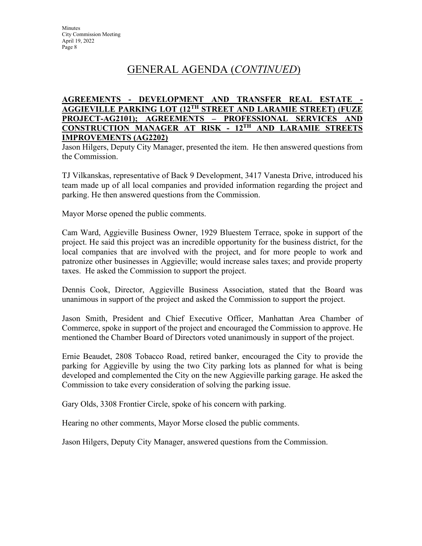#### **AGREEMENTS - DEVELOPMENT AND TRANSFER REAL ESTATE - AGGIEVILLE PARKING LOT (12TH STREET AND LARAMIE STREET) (FUZE PROJECT-AG2101); AGREEMENTS – PROFESSIONAL SERVICES AND CONSTRUCTION MANAGER AT RISK - 12TH AND LARAMIE STREETS IMPROVEMENTS (AG2202)**

Jason Hilgers, Deputy City Manager, presented the item. He then answered questions from the Commission.

TJ Vilkanskas, representative of Back 9 Development, 3417 Vanesta Drive, introduced his team made up of all local companies and provided information regarding the project and parking. He then answered questions from the Commission.

Mayor Morse opened the public comments.

Cam Ward, Aggieville Business Owner, 1929 Bluestem Terrace, spoke in support of the project. He said this project was an incredible opportunity for the business district, for the local companies that are involved with the project, and for more people to work and patronize other businesses in Aggieville; would increase sales taxes; and provide property taxes. He asked the Commission to support the project.

Dennis Cook, Director, Aggieville Business Association, stated that the Board was unanimous in support of the project and asked the Commission to support the project.

Jason Smith, President and Chief Executive Officer, Manhattan Area Chamber of Commerce, spoke in support of the project and encouraged the Commission to approve. He mentioned the Chamber Board of Directors voted unanimously in support of the project.

Ernie Beaudet, 2808 Tobacco Road, retired banker, encouraged the City to provide the parking for Aggieville by using the two City parking lots as planned for what is being developed and complemented the City on the new Aggieville parking garage. He asked the Commission to take every consideration of solving the parking issue.

Gary Olds, 3308 Frontier Circle, spoke of his concern with parking.

Hearing no other comments, Mayor Morse closed the public comments.

Jason Hilgers, Deputy City Manager, answered questions from the Commission.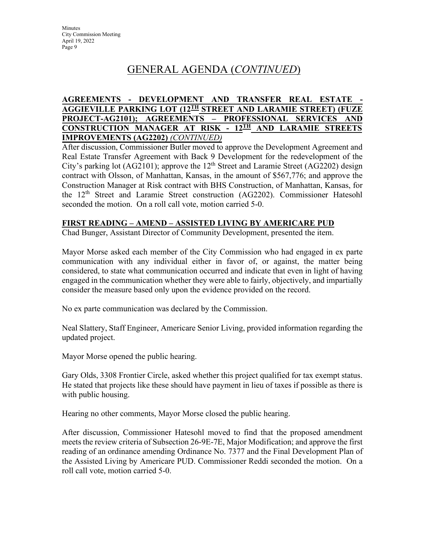#### **AGREEMENTS - DEVELOPMENT AND TRANSFER REAL ESTATE - AGGIEVILLE PARKING LOT (12TH STREET AND LARAMIE STREET) (FUZE PROJECT-AG2101); AGREEMENTS – PROFESSIONAL SERVICES AND CONSTRUCTION MANAGER AT RISK - 12TH AND LARAMIE STREETS IMPROVEMENTS (AG2202)** *(CONTINUED)*

After discussion, Commissioner Butler moved to approve the Development Agreement and Real Estate Transfer Agreement with Back 9 Development for the redevelopment of the City's parking lot (AG2101); approve the  $12<sup>th</sup>$  Street and Laramie Street (AG2202) design contract with Olsson, of Manhattan, Kansas, in the amount of \$567,776; and approve the Construction Manager at Risk contract with BHS Construction, of Manhattan, Kansas, for the 12<sup>th</sup> Street and Laramie Street construction (AG2202). Commissioner Hatesohl seconded the motion. On a roll call vote, motion carried 5-0.

#### **FIRST READING – AMEND – ASSISTED LIVING BY AMERICARE PUD**

Chad Bunger, Assistant Director of Community Development, presented the item.

Mayor Morse asked each member of the City Commission who had engaged in ex parte communication with any individual either in favor of, or against, the matter being considered, to state what communication occurred and indicate that even in light of having engaged in the communication whether they were able to fairly, objectively, and impartially consider the measure based only upon the evidence provided on the record.

No ex parte communication was declared by the Commission.

Neal Slattery, Staff Engineer, Americare Senior Living, provided information regarding the updated project.

Mayor Morse opened the public hearing.

Gary Olds, 3308 Frontier Circle, asked whether this project qualified for tax exempt status. He stated that projects like these should have payment in lieu of taxes if possible as there is with public housing.

Hearing no other comments, Mayor Morse closed the public hearing.

After discussion, Commissioner Hatesohl moved to find that the proposed amendment meets the review criteria of Subsection 26-9E-7E, Major Modification; and approve the first reading of an ordinance amending Ordinance No. 7377 and the Final Development Plan of the Assisted Living by Americare PUD. Commissioner Reddi seconded the motion. On a roll call vote, motion carried 5-0.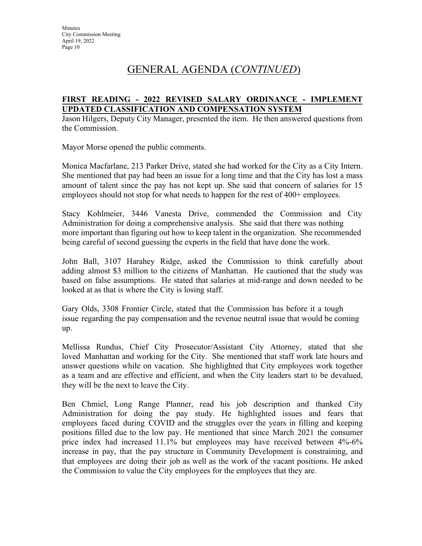#### **FIRST READING - 2022 REVISED SALARY ORDINANCE - IMPLEMENT UPDATED CLASSIFICATION AND COMPENSATION SYSTEM**

Jason Hilgers, Deputy City Manager, presented the item. He then answered questions from the Commission.

Mayor Morse opened the public comments.

Monica Macfarlane, 213 Parker Drive, stated she had worked for the City as a City Intern. She mentioned that pay had been an issue for a long time and that the City has lost a mass amount of talent since the pay has not kept up. She said that concern of salaries for 15 employees should not stop for what needs to happen for the rest of 400+ employees.

Stacy Kohlmeier, 3446 Vanesta Drive, commended the Commission and City Administration for doing a comprehensive analysis. She said that there was nothing more important than figuring out how to keep talent in the organization. She recommended being careful of second guessing the experts in the field that have done the work.

John Ball, 3107 Harahey Ridge, asked the Commission to think carefully about adding almost \$3 million to the citizens of Manhattan. He cautioned that the study was based on false assumptions. He stated that salaries at mid-range and down needed to be looked at as that is where the City is losing staff.

Gary Olds, 3308 Frontier Circle, stated that the Commission has before it a tough issue regarding the pay compensation and the revenue neutral issue that would be coming up.

Mellissa Rundus, Chief City Prosecutor/Assistant City Attorney, stated that she loved Manhattan and working for the City. She mentioned that staff work late hours and answer questions while on vacation. She highlighted that City employees work together as a team and are effective and efficient, and when the City leaders start to be devalued, they will be the next to leave the City.

Ben Chmiel, Long Range Planner, read his job description and thanked City Administration for doing the pay study. He highlighted issues and fears that employees faced during COVID and the struggles over the years in filling and keeping positions filled due to the low pay. He mentioned that since March 2021 the consumer price index had increased 11.1% but employees may have received between 4%-6% increase in pay, that the pay structure in Community Development is constraining, and that employees are doing their job as well as the work of the vacant positions. He asked the Commission to value the City employees for the employees that they are.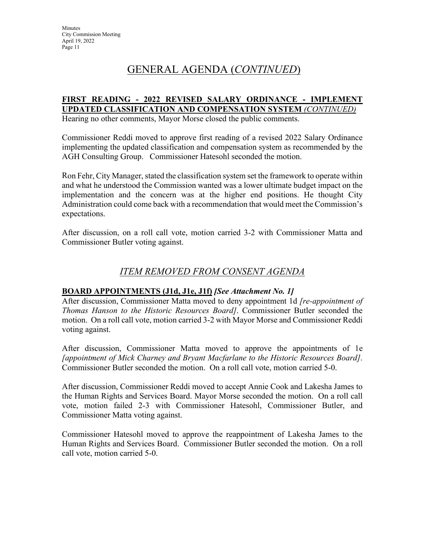#### **FIRST READING - 2022 REVISED SALARY ORDINANCE - IMPLEMENT UPDATED CLASSIFICATION AND COMPENSATION SYSTEM** *(CONTINUED)*

Hearing no other comments, Mayor Morse closed the public comments.

Commissioner Reddi moved to approve first reading of a revised 2022 Salary Ordinance implementing the updated classification and compensation system as recommended by the AGH Consulting Group. Commissioner Hatesohl seconded the motion.

Ron Fehr, City Manager, stated the classification system set the framework to operate within and what he understood the Commission wanted was a lower ultimate budget impact on the implementation and the concern was at the higher end positions. He thought City Administration could come back with a recommendation that would meet the Commission's expectations.

After discussion, on a roll call vote, motion carried 3-2 with Commissioner Matta and Commissioner Butler voting against.

### *ITEM REMOVED FROM CONSENT AGENDA*

#### **BOARD APPOINTMENTS (J1d, J1e, J1f)** *[See Attachment No. 1]*

After discussion, Commissioner Matta moved to deny appointment 1d *[re-appointment of Thomas Hanson to the Historic Resources Board]*. Commissioner Butler seconded the motion. On a roll call vote, motion carried 3-2 with Mayor Morse and Commissioner Reddi voting against.

After discussion, Commissioner Matta moved to approve the appointments of 1e *[appointment of Mick Charney and Bryant Macfarlane to the Historic Resources Board]*. Commissioner Butler seconded the motion. On a roll call vote, motion carried 5-0.

After discussion, Commissioner Reddi moved to accept Annie Cook and Lakesha James to the Human Rights and Services Board. Mayor Morse seconded the motion. On a roll call vote, motion failed 2-3 with Commissioner Hatesohl, Commissioner Butler, and Commissioner Matta voting against.

Commissioner Hatesohl moved to approve the reappointment of Lakesha James to the Human Rights and Services Board. Commissioner Butler seconded the motion. On a roll call vote, motion carried 5-0.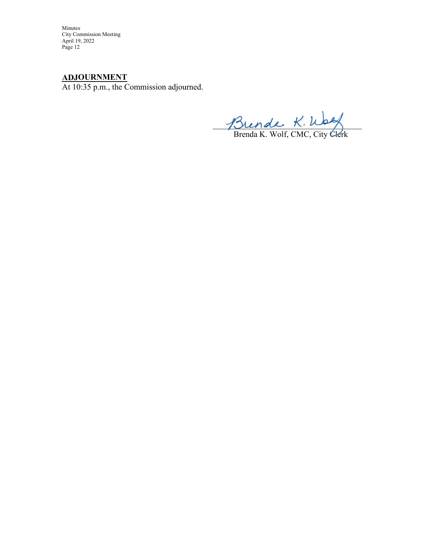Minutes City Commission Meeting April 19, 2022 Page 12

### **ADJOURNMENT**

At 10:35 p.m., the Commission adjourned.

 $J\mathcal{D}$ lende  $\kappa$ . Woog

Brenda K. Wolf, CMC, City Clerk